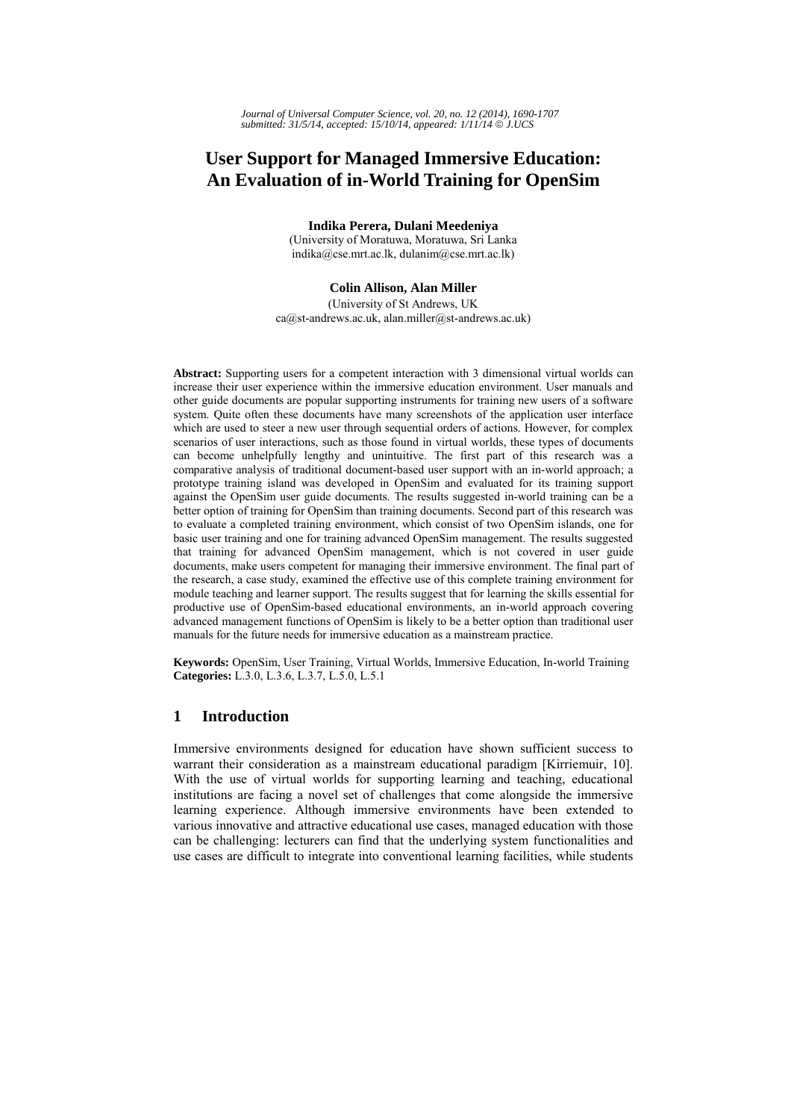# **User Support for Managed Immersive Education: An Evaluation of in-World Training for OpenSim**

**Indika Perera, Dulani Meedeniya** 

(University of Moratuwa, Moratuwa, Sri Lanka indika@cse.mrt.ac.lk, dulanim@cse.mrt.ac.lk)

#### **Colin Allison, Alan Miller**

(University of St Andrews, UK ca@st-andrews.ac.uk, alan.miller@st-andrews.ac.uk)

**Abstract:** Supporting users for a competent interaction with 3 dimensional virtual worlds can increase their user experience within the immersive education environment. User manuals and other guide documents are popular supporting instruments for training new users of a software system. Quite often these documents have many screenshots of the application user interface which are used to steer a new user through sequential orders of actions. However, for complex scenarios of user interactions, such as those found in virtual worlds, these types of documents can become unhelpfully lengthy and unintuitive. The first part of this research was a comparative analysis of traditional document-based user support with an in-world approach; a prototype training island was developed in OpenSim and evaluated for its training support against the OpenSim user guide documents. The results suggested in-world training can be a better option of training for OpenSim than training documents. Second part of this research was to evaluate a completed training environment, which consist of two OpenSim islands, one for basic user training and one for training advanced OpenSim management. The results suggested that training for advanced OpenSim management, which is not covered in user guide documents, make users competent for managing their immersive environment. The final part of the research, a case study, examined the effective use of this complete training environment for module teaching and learner support. The results suggest that for learning the skills essential for productive use of OpenSim-based educational environments, an in-world approach covering advanced management functions of OpenSim is likely to be a better option than traditional user manuals for the future needs for immersive education as a mainstream practice.

**Keywords:** OpenSim, User Training, Virtual Worlds, Immersive Education, In-world Training **Categories:** L.3.0, L.3.6, L.3.7, L.5.0, L.5.1

## **1 Introduction**

Immersive environments designed for education have shown sufficient success to warrant their consideration as a mainstream educational paradigm [Kirriemuir, 10]. With the use of virtual worlds for supporting learning and teaching, educational institutions are facing a novel set of challenges that come alongside the immersive learning experience. Although immersive environments have been extended to various innovative and attractive educational use cases, managed education with those can be challenging: lecturers can find that the underlying system functionalities and use cases are difficult to integrate into conventional learning facilities, while students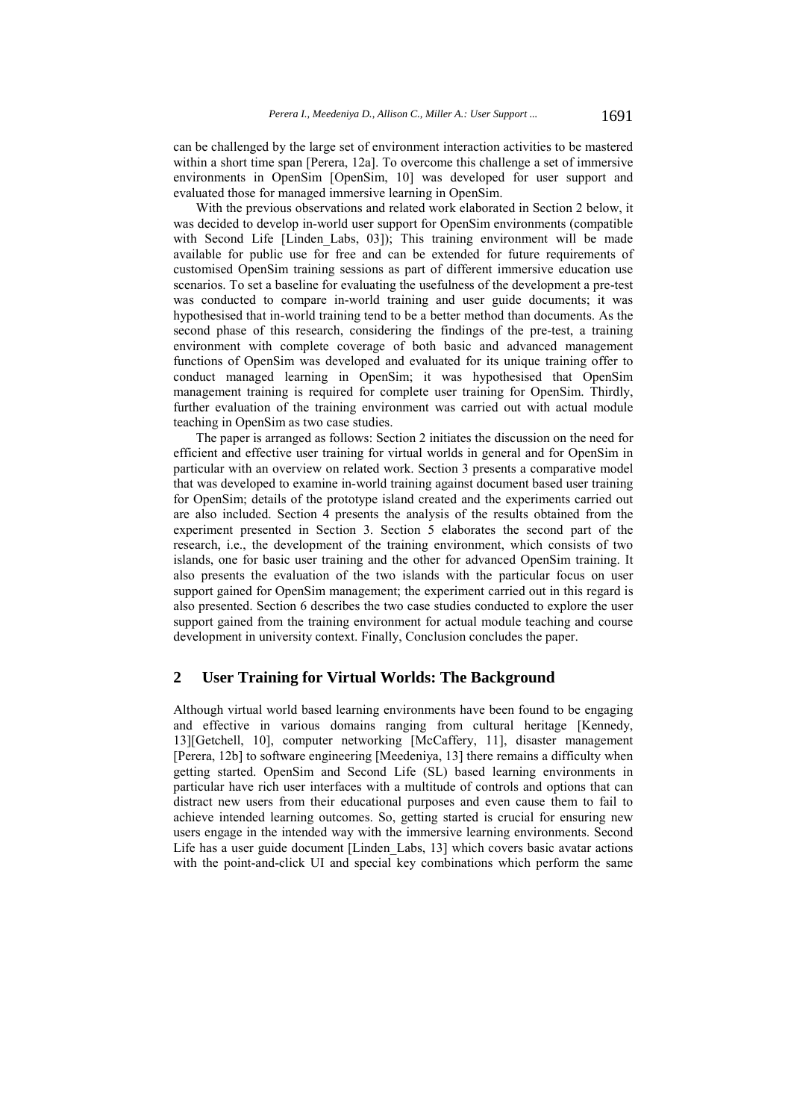can be challenged by the large set of environment interaction activities to be mastered within a short time span [Perera, 12a]. To overcome this challenge a set of immersive environments in OpenSim [OpenSim, 10] was developed for user support and evaluated those for managed immersive learning in OpenSim.

With the previous observations and related work elaborated in Section 2 below, it was decided to develop in-world user support for OpenSim environments (compatible with Second Life [Linden Labs, 03]); This training environment will be made available for public use for free and can be extended for future requirements of customised OpenSim training sessions as part of different immersive education use scenarios. To set a baseline for evaluating the usefulness of the development a pre-test was conducted to compare in-world training and user guide documents; it was hypothesised that in-world training tend to be a better method than documents. As the second phase of this research, considering the findings of the pre-test, a training environment with complete coverage of both basic and advanced management functions of OpenSim was developed and evaluated for its unique training offer to conduct managed learning in OpenSim; it was hypothesised that OpenSim management training is required for complete user training for OpenSim. Thirdly, further evaluation of the training environment was carried out with actual module teaching in OpenSim as two case studies.

The paper is arranged as follows: Section 2 initiates the discussion on the need for efficient and effective user training for virtual worlds in general and for OpenSim in particular with an overview on related work. Section 3 presents a comparative model that was developed to examine in-world training against document based user training for OpenSim; details of the prototype island created and the experiments carried out are also included. Section 4 presents the analysis of the results obtained from the experiment presented in Section 3. Section 5 elaborates the second part of the research, i.e., the development of the training environment, which consists of two islands, one for basic user training and the other for advanced OpenSim training. It also presents the evaluation of the two islands with the particular focus on user support gained for OpenSim management; the experiment carried out in this regard is also presented. Section 6 describes the two case studies conducted to explore the user support gained from the training environment for actual module teaching and course development in university context. Finally, Conclusion concludes the paper.

## **2 User Training for Virtual Worlds: The Background**

Although virtual world based learning environments have been found to be engaging and effective in various domains ranging from cultural heritage [Kennedy, 13][Getchell, 10], computer networking [McCaffery, 11], disaster management [Perera, 12b] to software engineering [Meedeniya, 13] there remains a difficulty when getting started. OpenSim and Second Life (SL) based learning environments in particular have rich user interfaces with a multitude of controls and options that can distract new users from their educational purposes and even cause them to fail to achieve intended learning outcomes. So, getting started is crucial for ensuring new users engage in the intended way with the immersive learning environments. Second Life has a user guide document [Linden Labs, 13] which covers basic avatar actions with the point-and-click UI and special key combinations which perform the same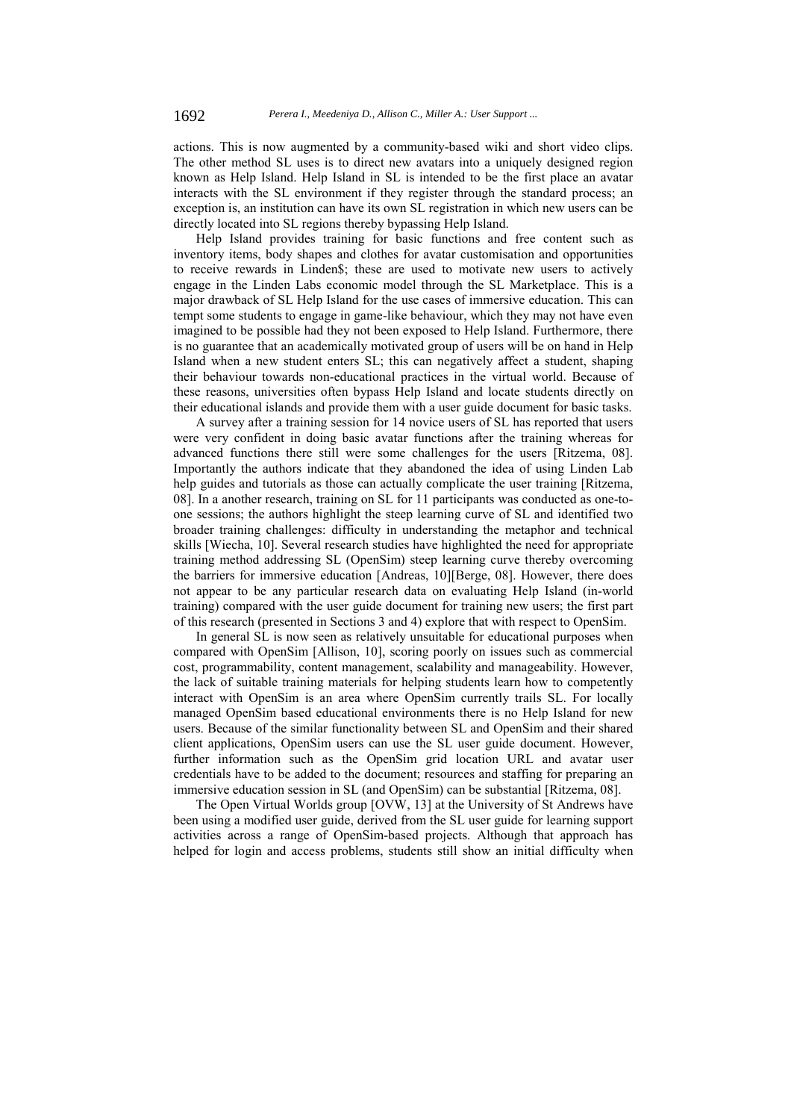actions. This is now augmented by a community-based wiki and short video clips. The other method SL uses is to direct new avatars into a uniquely designed region known as Help Island. Help Island in SL is intended to be the first place an avatar interacts with the SL environment if they register through the standard process; an exception is, an institution can have its own SL registration in which new users can be directly located into SL regions thereby bypassing Help Island.

Help Island provides training for basic functions and free content such as inventory items, body shapes and clothes for avatar customisation and opportunities to receive rewards in Linden\$; these are used to motivate new users to actively engage in the Linden Labs economic model through the SL Marketplace. This is a major drawback of SL Help Island for the use cases of immersive education. This can tempt some students to engage in game-like behaviour, which they may not have even imagined to be possible had they not been exposed to Help Island. Furthermore, there is no guarantee that an academically motivated group of users will be on hand in Help Island when a new student enters SL; this can negatively affect a student, shaping their behaviour towards non-educational practices in the virtual world. Because of these reasons, universities often bypass Help Island and locate students directly on their educational islands and provide them with a user guide document for basic tasks.

A survey after a training session for 14 novice users of SL has reported that users were very confident in doing basic avatar functions after the training whereas for advanced functions there still were some challenges for the users [Ritzema, 08]. Importantly the authors indicate that they abandoned the idea of using Linden Lab help guides and tutorials as those can actually complicate the user training [Ritzema, 08]. In a another research, training on SL for 11 participants was conducted as one-toone sessions; the authors highlight the steep learning curve of SL and identified two broader training challenges: difficulty in understanding the metaphor and technical skills [Wiecha, 10]. Several research studies have highlighted the need for appropriate training method addressing SL (OpenSim) steep learning curve thereby overcoming the barriers for immersive education [Andreas, 10][Berge, 08]. However, there does not appear to be any particular research data on evaluating Help Island (in-world training) compared with the user guide document for training new users; the first part of this research (presented in Sections 3 and 4) explore that with respect to OpenSim.

In general SL is now seen as relatively unsuitable for educational purposes when compared with OpenSim [Allison, 10], scoring poorly on issues such as commercial cost, programmability, content management, scalability and manageability. However, the lack of suitable training materials for helping students learn how to competently interact with OpenSim is an area where OpenSim currently trails SL. For locally managed OpenSim based educational environments there is no Help Island for new users. Because of the similar functionality between SL and OpenSim and their shared client applications, OpenSim users can use the SL user guide document. However, further information such as the OpenSim grid location URL and avatar user credentials have to be added to the document; resources and staffing for preparing an immersive education session in SL (and OpenSim) can be substantial [Ritzema, 08].

The Open Virtual Worlds group [OVW, 13] at the University of St Andrews have been using a modified user guide, derived from the SL user guide for learning support activities across a range of OpenSim-based projects. Although that approach has helped for login and access problems, students still show an initial difficulty when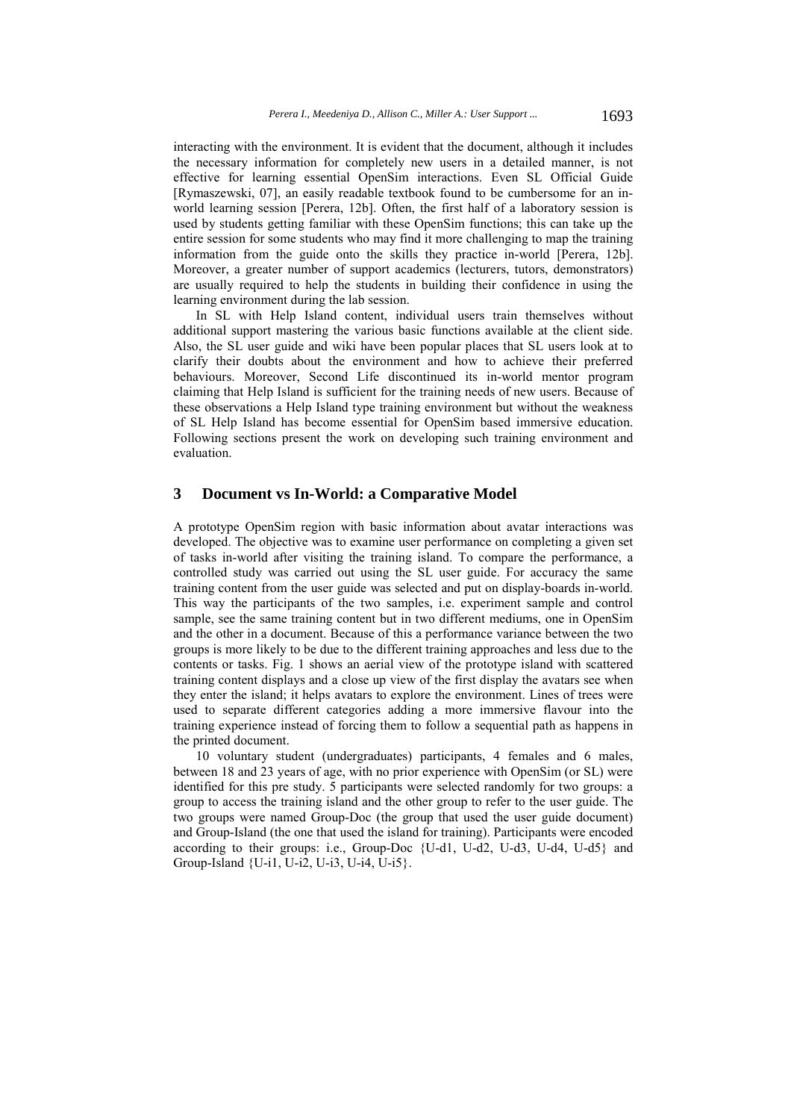interacting with the environment. It is evident that the document, although it includes the necessary information for completely new users in a detailed manner, is not effective for learning essential OpenSim interactions. Even SL Official Guide [Rymaszewski, 07], an easily readable textbook found to be cumbersome for an inworld learning session [Perera, 12b]. Often, the first half of a laboratory session is used by students getting familiar with these OpenSim functions; this can take up the entire session for some students who may find it more challenging to map the training information from the guide onto the skills they practice in-world [Perera, 12b]. Moreover, a greater number of support academics (lecturers, tutors, demonstrators) are usually required to help the students in building their confidence in using the learning environment during the lab session.

In SL with Help Island content, individual users train themselves without additional support mastering the various basic functions available at the client side. Also, the SL user guide and wiki have been popular places that SL users look at to clarify their doubts about the environment and how to achieve their preferred behaviours. Moreover, Second Life discontinued its in-world mentor program claiming that Help Island is sufficient for the training needs of new users. Because of these observations a Help Island type training environment but without the weakness of SL Help Island has become essential for OpenSim based immersive education. Following sections present the work on developing such training environment and evaluation.

## **3 Document vs In-World: a Comparative Model**

A prototype OpenSim region with basic information about avatar interactions was developed. The objective was to examine user performance on completing a given set of tasks in-world after visiting the training island. To compare the performance, a controlled study was carried out using the SL user guide. For accuracy the same training content from the user guide was selected and put on display-boards in-world. This way the participants of the two samples, i.e. experiment sample and control sample, see the same training content but in two different mediums, one in OpenSim and the other in a document. Because of this a performance variance between the two groups is more likely to be due to the different training approaches and less due to the contents or tasks. Fig. 1 shows an aerial view of the prototype island with scattered training content displays and a close up view of the first display the avatars see when they enter the island; it helps avatars to explore the environment. Lines of trees were used to separate different categories adding a more immersive flavour into the training experience instead of forcing them to follow a sequential path as happens in the printed document.

10 voluntary student (undergraduates) participants, 4 females and 6 males, between 18 and 23 years of age, with no prior experience with OpenSim (or SL) were identified for this pre study. 5 participants were selected randomly for two groups: a group to access the training island and the other group to refer to the user guide. The two groups were named Group-Doc (the group that used the user guide document) and Group-Island (the one that used the island for training). Participants were encoded according to their groups: i.e., Group-Doc {U-d1, U-d2, U-d3, U-d4, U-d5} and Group-Island {U-i1, U-i2, U-i3, U-i4, U-i5}.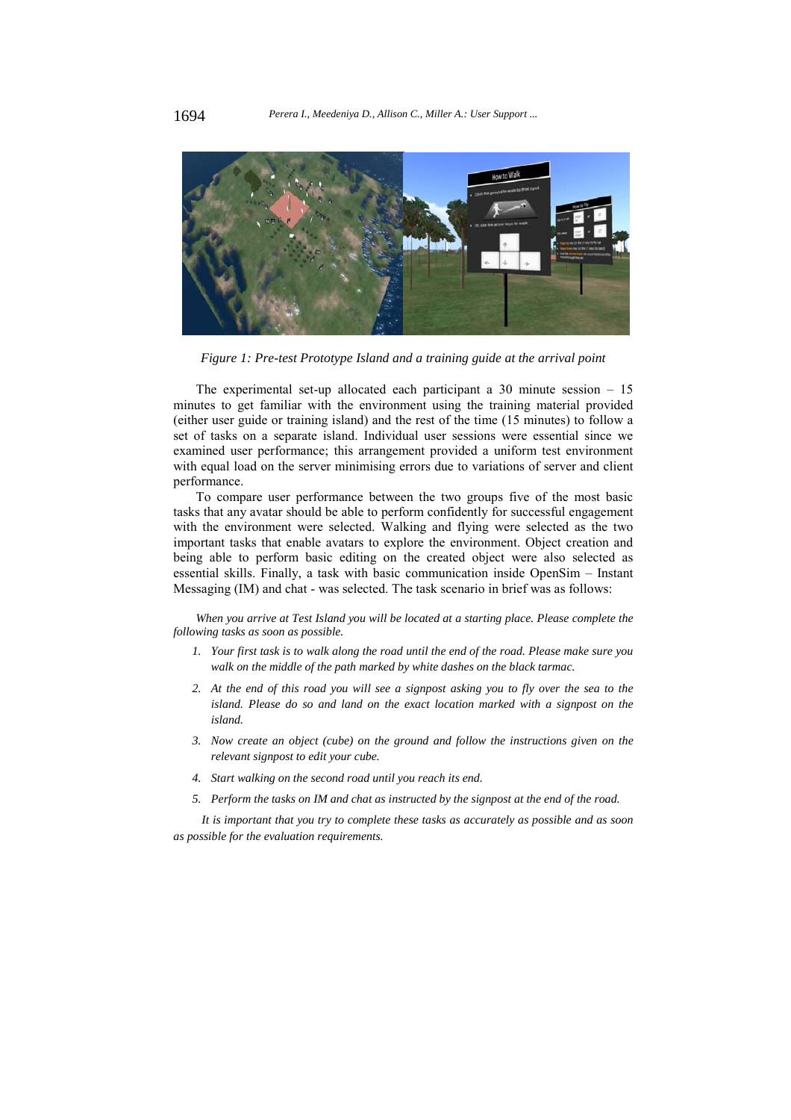

*Figure 1: Pre-test Prototype Island and a training guide at the arrival point* 

The experimental set-up allocated each participant a 30 minute session – 15 minutes to get familiar with the environment using the training material provided (either user guide or training island) and the rest of the time (15 minutes) to follow a set of tasks on a separate island. Individual user sessions were essential since we examined user performance; this arrangement provided a uniform test environment with equal load on the server minimising errors due to variations of server and client performance.

To compare user performance between the two groups five of the most basic tasks that any avatar should be able to perform confidently for successful engagement with the environment were selected. Walking and flying were selected as the two important tasks that enable avatars to explore the environment. Object creation and being able to perform basic editing on the created object were also selected as essential skills. Finally, a task with basic communication inside OpenSim – Instant Messaging (IM) and chat - was selected. The task scenario in brief was as follows:

When you arrive at Test Island you will be located at a starting place. Please complete the *following tasks as soon as possible.* 

- *1. Your first task is to walk along the road until the end of the road. Please make sure you walk on the middle of the path marked by white dashes on the black tarmac.*
- *2. At the end of this road you will see a signpost asking you to fly over the sea to the island. Please do so and land on the exact location marked with a signpost on the island.*
- *3. Now create an object (cube) on the ground and follow the instructions given on the relevant signpost to edit your cube.*
- *4. Start walking on the second road until you reach its end.*
- *5. Perform the tasks on IM and chat as instructed by the signpost at the end of the road.*

*It is important that you try to complete these tasks as accurately as possible and as soon as possible for the evaluation requirements.*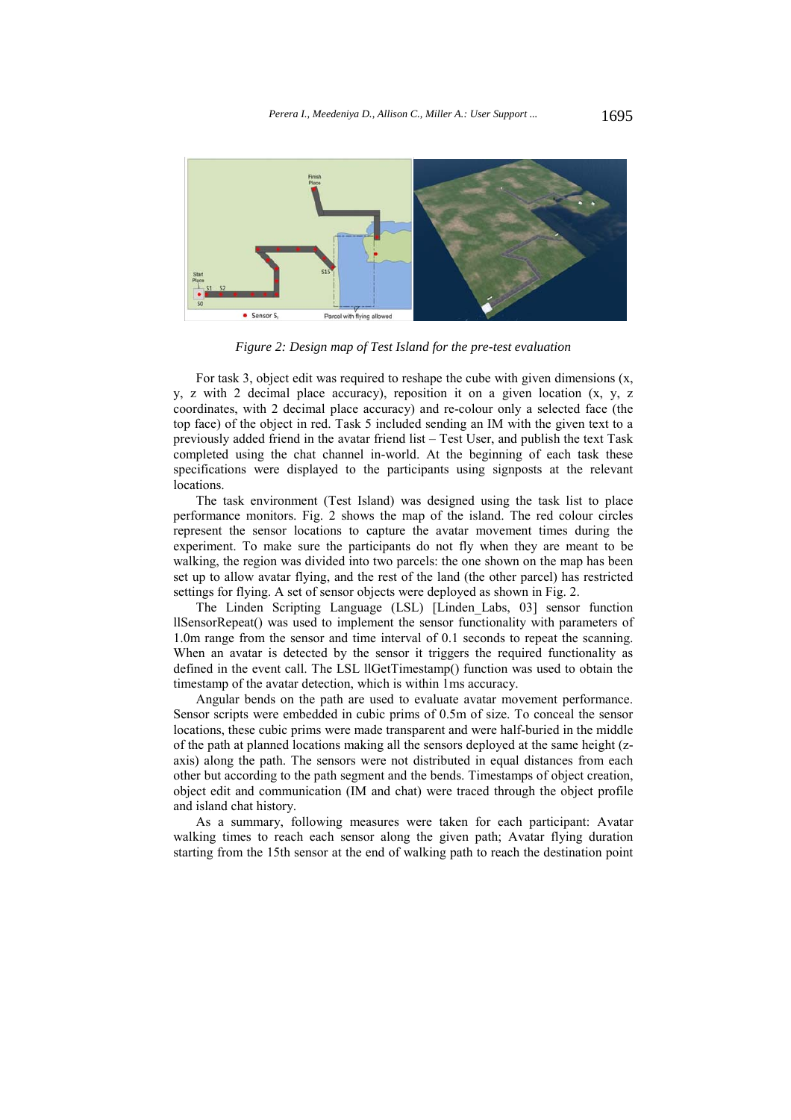

*Figure 2: Design map of Test Island for the pre-test evaluation* 

For task 3, object edit was required to reshape the cube with given dimensions  $(x, \theta)$ y, z with 2 decimal place accuracy), reposition it on a given location (x, y, z coordinates, with 2 decimal place accuracy) and re-colour only a selected face (the top face) of the object in red. Task 5 included sending an IM with the given text to a previously added friend in the avatar friend list – Test User, and publish the text Task completed using the chat channel in-world. At the beginning of each task these specifications were displayed to the participants using signposts at the relevant locations.

The task environment (Test Island) was designed using the task list to place performance monitors. Fig. 2 shows the map of the island. The red colour circles represent the sensor locations to capture the avatar movement times during the experiment. To make sure the participants do not fly when they are meant to be walking, the region was divided into two parcels: the one shown on the map has been set up to allow avatar flying, and the rest of the land (the other parcel) has restricted settings for flying. A set of sensor objects were deployed as shown in Fig. 2.

The Linden Scripting Language (LSL) [Linden\_Labs, 03] sensor function llSensorRepeat() was used to implement the sensor functionality with parameters of 1.0m range from the sensor and time interval of 0.1 seconds to repeat the scanning. When an avatar is detected by the sensor it triggers the required functionality as defined in the event call. The LSL llGetTimestamp() function was used to obtain the timestamp of the avatar detection, which is within 1ms accuracy.

Angular bends on the path are used to evaluate avatar movement performance. Sensor scripts were embedded in cubic prims of 0.5m of size. To conceal the sensor locations, these cubic prims were made transparent and were half-buried in the middle of the path at planned locations making all the sensors deployed at the same height (zaxis) along the path. The sensors were not distributed in equal distances from each other but according to the path segment and the bends. Timestamps of object creation, object edit and communication (IM and chat) were traced through the object profile and island chat history.

As a summary, following measures were taken for each participant: Avatar walking times to reach each sensor along the given path; Avatar flying duration starting from the 15th sensor at the end of walking path to reach the destination point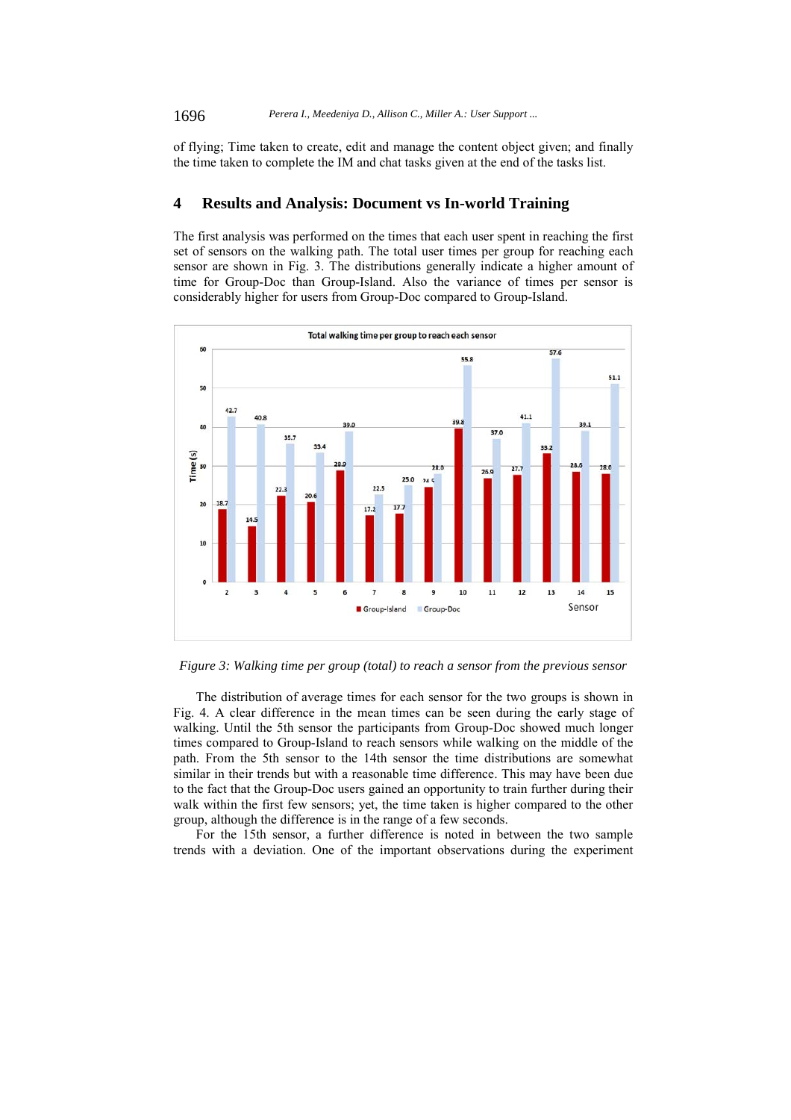of flying; Time taken to create, edit and manage the content object given; and finally the time taken to complete the IM and chat tasks given at the end of the tasks list.

## **4 Results and Analysis: Document vs In-world Training**

The first analysis was performed on the times that each user spent in reaching the first set of sensors on the walking path. The total user times per group for reaching each sensor are shown in Fig. 3. The distributions generally indicate a higher amount of time for Group-Doc than Group-Island. Also the variance of times per sensor is considerably higher for users from Group-Doc compared to Group-Island.



*Figure 3: Walking time per group (total) to reach a sensor from the previous sensor* 

The distribution of average times for each sensor for the two groups is shown in Fig. 4. A clear difference in the mean times can be seen during the early stage of walking. Until the 5th sensor the participants from Group-Doc showed much longer times compared to Group-Island to reach sensors while walking on the middle of the path. From the 5th sensor to the 14th sensor the time distributions are somewhat similar in their trends but with a reasonable time difference. This may have been due to the fact that the Group-Doc users gained an opportunity to train further during their walk within the first few sensors; yet, the time taken is higher compared to the other group, although the difference is in the range of a few seconds.

For the 15th sensor, a further difference is noted in between the two sample trends with a deviation. One of the important observations during the experiment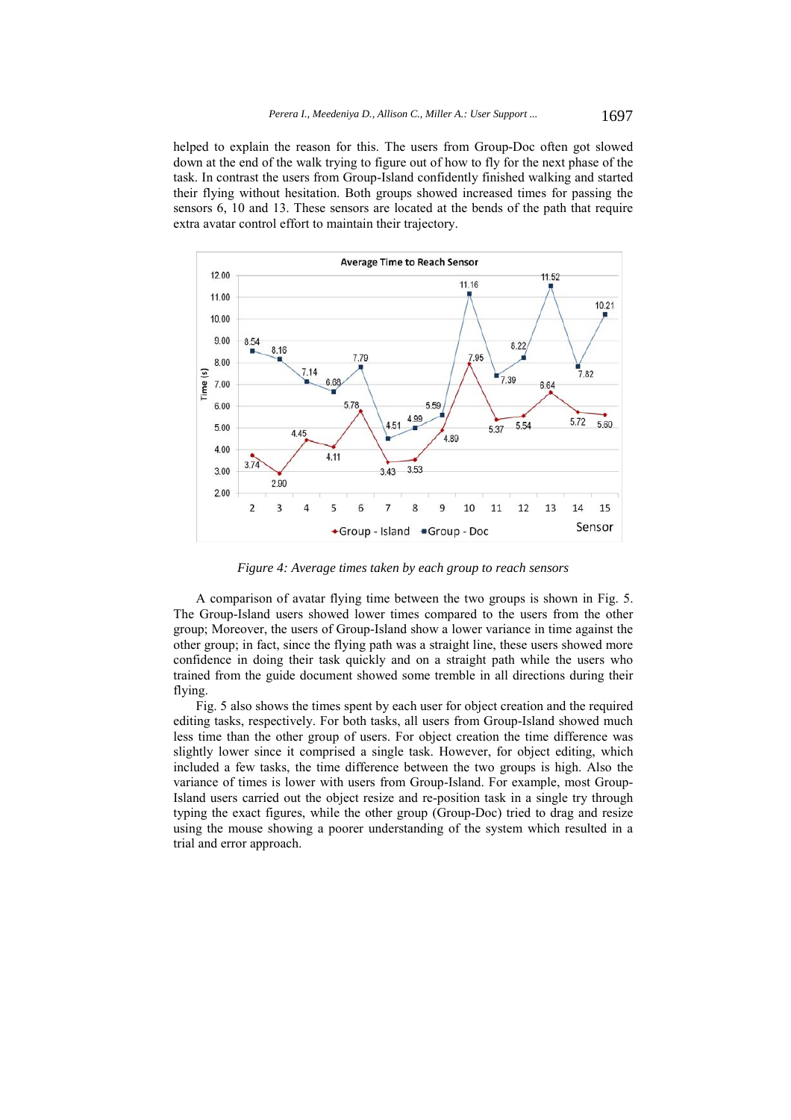helped to explain the reason for this. The users from Group-Doc often got slowed down at the end of the walk trying to figure out of how to fly for the next phase of the task. In contrast the users from Group-Island confidently finished walking and started their flying without hesitation. Both groups showed increased times for passing the sensors 6, 10 and 13. These sensors are located at the bends of the path that require extra avatar control effort to maintain their trajectory.



*Figure 4: Average times taken by each group to reach sensors* 

A comparison of avatar flying time between the two groups is shown in Fig. 5. The Group-Island users showed lower times compared to the users from the other group; Moreover, the users of Group-Island show a lower variance in time against the other group; in fact, since the flying path was a straight line, these users showed more confidence in doing their task quickly and on a straight path while the users who trained from the guide document showed some tremble in all directions during their flying.

Fig. 5 also shows the times spent by each user for object creation and the required editing tasks, respectively. For both tasks, all users from Group-Island showed much less time than the other group of users. For object creation the time difference was slightly lower since it comprised a single task. However, for object editing, which included a few tasks, the time difference between the two groups is high. Also the variance of times is lower with users from Group-Island. For example, most Group-Island users carried out the object resize and re-position task in a single try through typing the exact figures, while the other group (Group-Doc) tried to drag and resize using the mouse showing a poorer understanding of the system which resulted in a trial and error approach.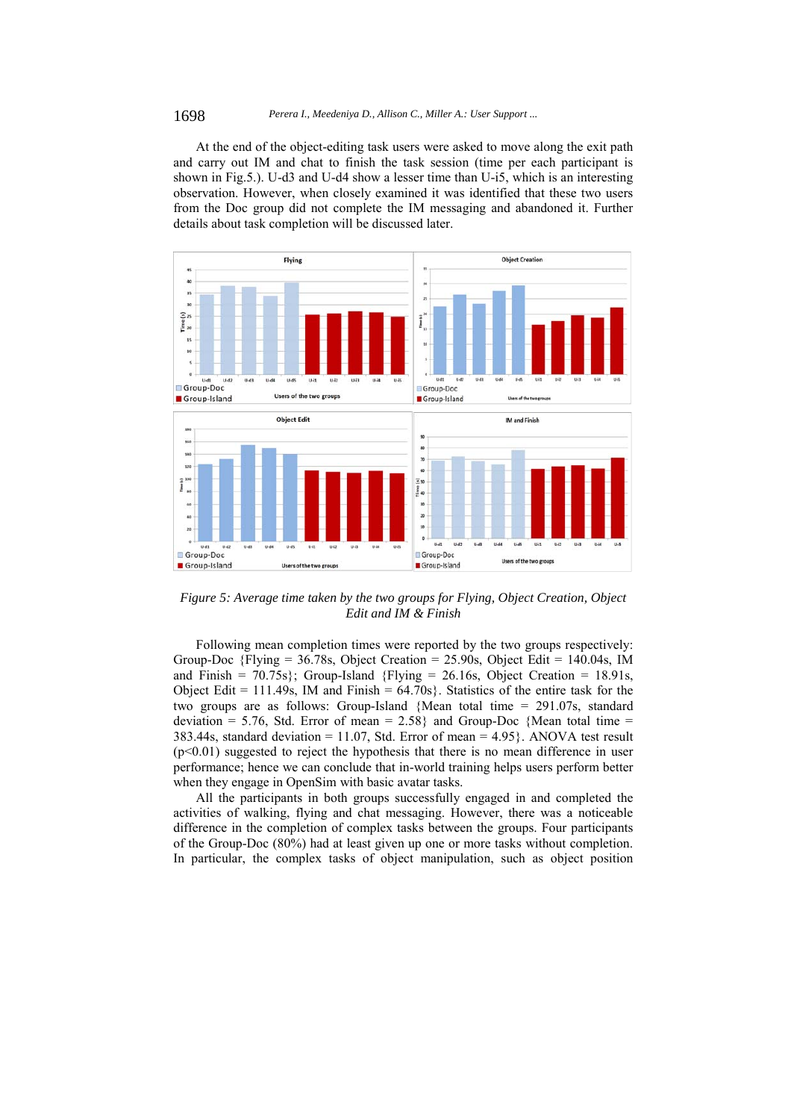At the end of the object-editing task users were asked to move along the exit path and carry out IM and chat to finish the task session (time per each participant is shown in Fig.5.). U-d3 and U-d4 show a lesser time than U-i5, which is an interesting observation. However, when closely examined it was identified that these two users from the Doc group did not complete the IM messaging and abandoned it. Further details about task completion will be discussed later.



*Figure 5: Average time taken by the two groups for Flying, Object Creation, Object Edit and IM & Finish* 

Following mean completion times were reported by the two groups respectively: Group-Doc  $\{Flying = 36.78s, Object Creation = 25.90s, Object Edit = 140.04s, IM\}$ and Finish =  $70.75$ s}; Group-Island {Flying =  $26.16$ s, Object Creation = 18.91s, Object Edit =  $111.49$ s, IM and Finish =  $64.70$ s}. Statistics of the entire task for the two groups are as follows: Group-Island {Mean total time = 291.07s, standard deviation = 5.76, Std. Error of mean =  $2.58$ } and Group-Doc {Mean total time = 383.44s, standard deviation = 11.07, Std. Error of mean =  $4.95$ . ANOVA test result  $(p<0.01)$  suggested to reject the hypothesis that there is no mean difference in user performance; hence we can conclude that in-world training helps users perform better when they engage in OpenSim with basic avatar tasks.

All the participants in both groups successfully engaged in and completed the activities of walking, flying and chat messaging. However, there was a noticeable difference in the completion of complex tasks between the groups. Four participants of the Group-Doc (80%) had at least given up one or more tasks without completion. In particular, the complex tasks of object manipulation, such as object position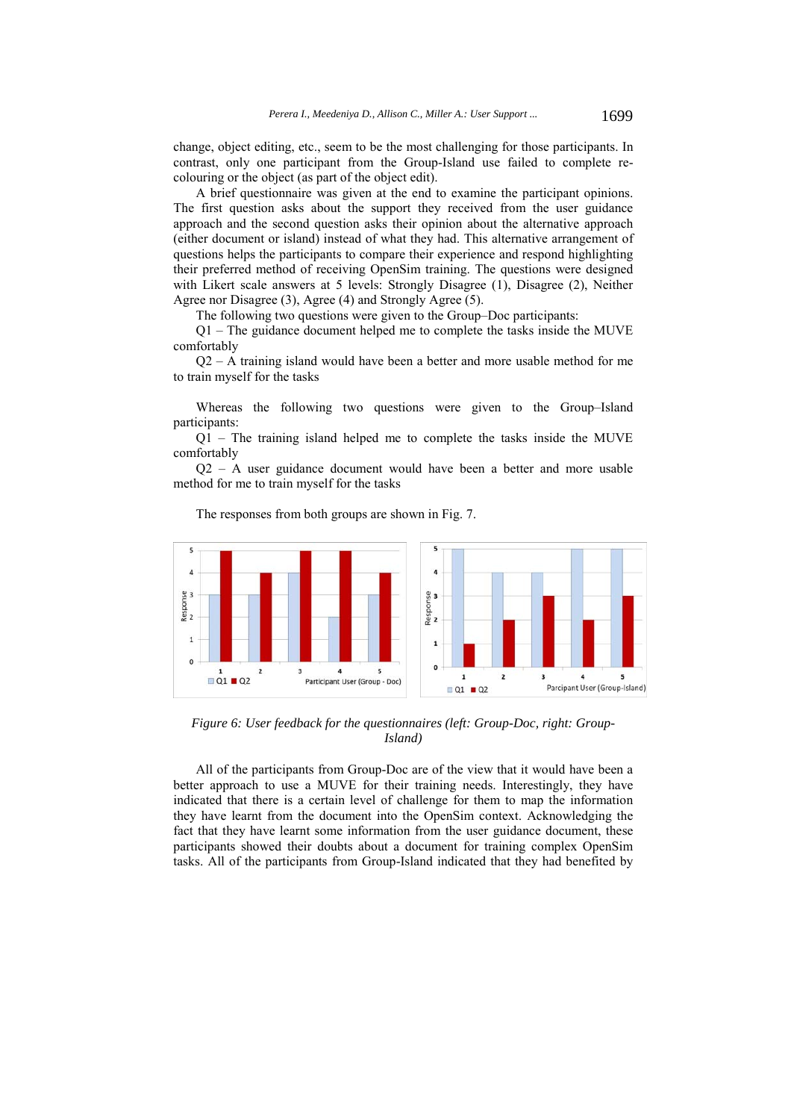change, object editing, etc., seem to be the most challenging for those participants. In contrast, only one participant from the Group-Island use failed to complete recolouring or the object (as part of the object edit).

A brief questionnaire was given at the end to examine the participant opinions. The first question asks about the support they received from the user guidance approach and the second question asks their opinion about the alternative approach (either document or island) instead of what they had. This alternative arrangement of questions helps the participants to compare their experience and respond highlighting their preferred method of receiving OpenSim training. The questions were designed with Likert scale answers at 5 levels: Strongly Disagree (1), Disagree (2), Neither Agree nor Disagree (3), Agree (4) and Strongly Agree (5).

The following two questions were given to the Group–Doc participants:

Q1 – The guidance document helped me to complete the tasks inside the MUVE comfortably

 $Q2 - A$  training island would have been a better and more usable method for me to train myself for the tasks

Whereas the following two questions were given to the Group–Island participants:

Q1 – The training island helped me to complete the tasks inside the MUVE comfortably

Q2 – A user guidance document would have been a better and more usable method for me to train myself for the tasks



The responses from both groups are shown in Fig. 7.

*Figure 6: User feedback for the questionnaires (left: Group-Doc, right: Group-Island)* 

All of the participants from Group-Doc are of the view that it would have been a better approach to use a MUVE for their training needs. Interestingly, they have indicated that there is a certain level of challenge for them to map the information they have learnt from the document into the OpenSim context. Acknowledging the fact that they have learnt some information from the user guidance document, these participants showed their doubts about a document for training complex OpenSim tasks. All of the participants from Group-Island indicated that they had benefited by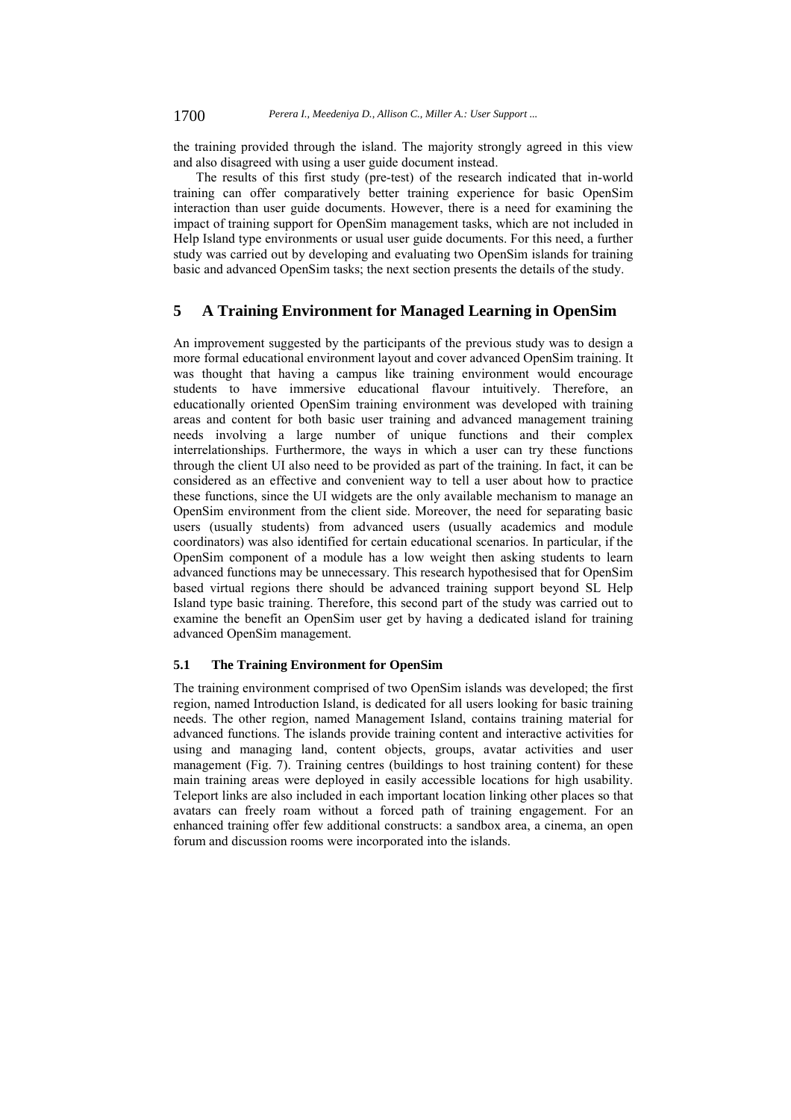the training provided through the island. The majority strongly agreed in this view and also disagreed with using a user guide document instead.

The results of this first study (pre-test) of the research indicated that in-world training can offer comparatively better training experience for basic OpenSim interaction than user guide documents. However, there is a need for examining the impact of training support for OpenSim management tasks, which are not included in Help Island type environments or usual user guide documents. For this need, a further study was carried out by developing and evaluating two OpenSim islands for training basic and advanced OpenSim tasks; the next section presents the details of the study.

#### **5 A Training Environment for Managed Learning in OpenSim**

An improvement suggested by the participants of the previous study was to design a more formal educational environment layout and cover advanced OpenSim training. It was thought that having a campus like training environment would encourage students to have immersive educational flavour intuitively. Therefore, an educationally oriented OpenSim training environment was developed with training areas and content for both basic user training and advanced management training needs involving a large number of unique functions and their complex interrelationships. Furthermore, the ways in which a user can try these functions through the client UI also need to be provided as part of the training. In fact, it can be considered as an effective and convenient way to tell a user about how to practice these functions, since the UI widgets are the only available mechanism to manage an OpenSim environment from the client side. Moreover, the need for separating basic users (usually students) from advanced users (usually academics and module coordinators) was also identified for certain educational scenarios. In particular, if the OpenSim component of a module has a low weight then asking students to learn advanced functions may be unnecessary. This research hypothesised that for OpenSim based virtual regions there should be advanced training support beyond SL Help Island type basic training. Therefore, this second part of the study was carried out to examine the benefit an OpenSim user get by having a dedicated island for training advanced OpenSim management.

#### **5.1 The Training Environment for OpenSim**

The training environment comprised of two OpenSim islands was developed; the first region, named Introduction Island, is dedicated for all users looking for basic training needs. The other region, named Management Island, contains training material for advanced functions. The islands provide training content and interactive activities for using and managing land, content objects, groups, avatar activities and user management (Fig. 7). Training centres (buildings to host training content) for these main training areas were deployed in easily accessible locations for high usability. Teleport links are also included in each important location linking other places so that avatars can freely roam without a forced path of training engagement. For an enhanced training offer few additional constructs: a sandbox area, a cinema, an open forum and discussion rooms were incorporated into the islands.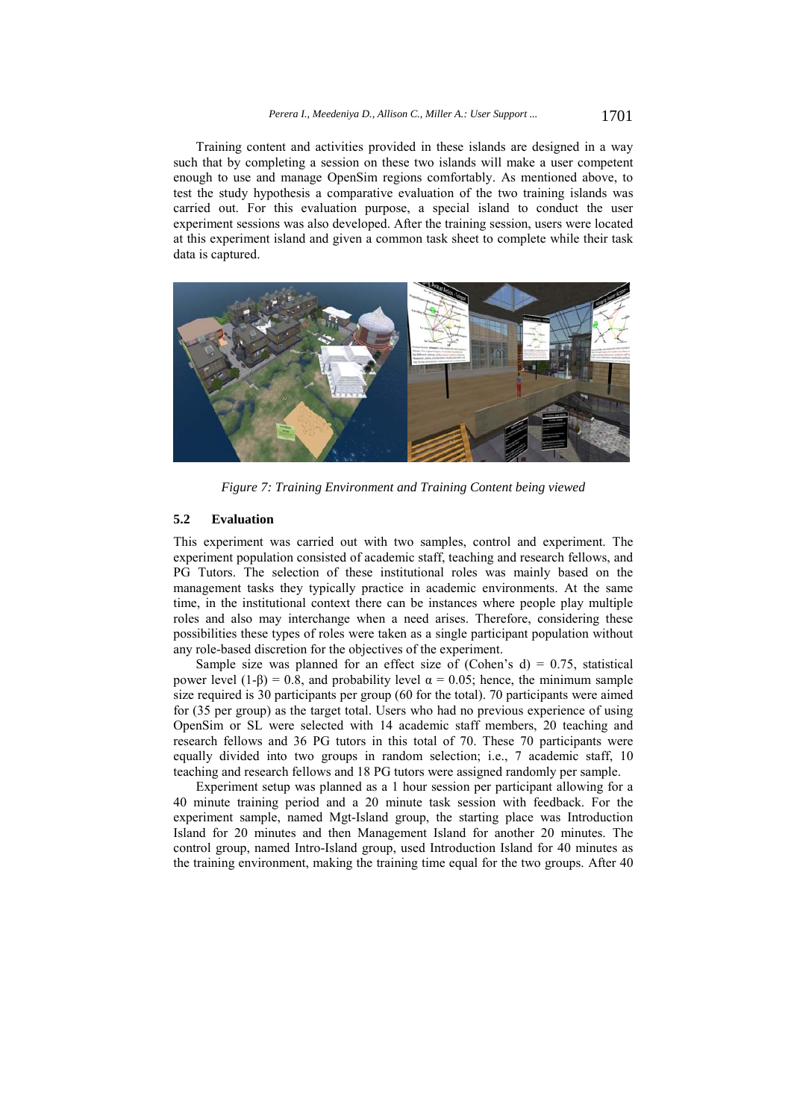Training content and activities provided in these islands are designed in a way such that by completing a session on these two islands will make a user competent enough to use and manage OpenSim regions comfortably. As mentioned above, to test the study hypothesis a comparative evaluation of the two training islands was carried out. For this evaluation purpose, a special island to conduct the user experiment sessions was also developed. After the training session, users were located at this experiment island and given a common task sheet to complete while their task data is captured.



*Figure 7: Training Environment and Training Content being viewed* 

#### **5.2 Evaluation**

This experiment was carried out with two samples, control and experiment. The experiment population consisted of academic staff, teaching and research fellows, and PG Tutors. The selection of these institutional roles was mainly based on the management tasks they typically practice in academic environments. At the same time, in the institutional context there can be instances where people play multiple roles and also may interchange when a need arises. Therefore, considering these possibilities these types of roles were taken as a single participant population without any role-based discretion for the objectives of the experiment.

Sample size was planned for an effect size of (Cohen's d) =  $0.75$ , statistical power level (1-β) = 0.8, and probability level  $\alpha$  = 0.05; hence, the minimum sample size required is 30 participants per group (60 for the total). 70 participants were aimed for (35 per group) as the target total. Users who had no previous experience of using OpenSim or SL were selected with 14 academic staff members, 20 teaching and research fellows and 36 PG tutors in this total of 70. These 70 participants were equally divided into two groups in random selection; i.e., 7 academic staff, 10 teaching and research fellows and 18 PG tutors were assigned randomly per sample.

Experiment setup was planned as a 1 hour session per participant allowing for a 40 minute training period and a 20 minute task session with feedback. For the experiment sample, named Mgt-Island group, the starting place was Introduction Island for 20 minutes and then Management Island for another 20 minutes. The control group, named Intro-Island group, used Introduction Island for 40 minutes as the training environment, making the training time equal for the two groups. After 40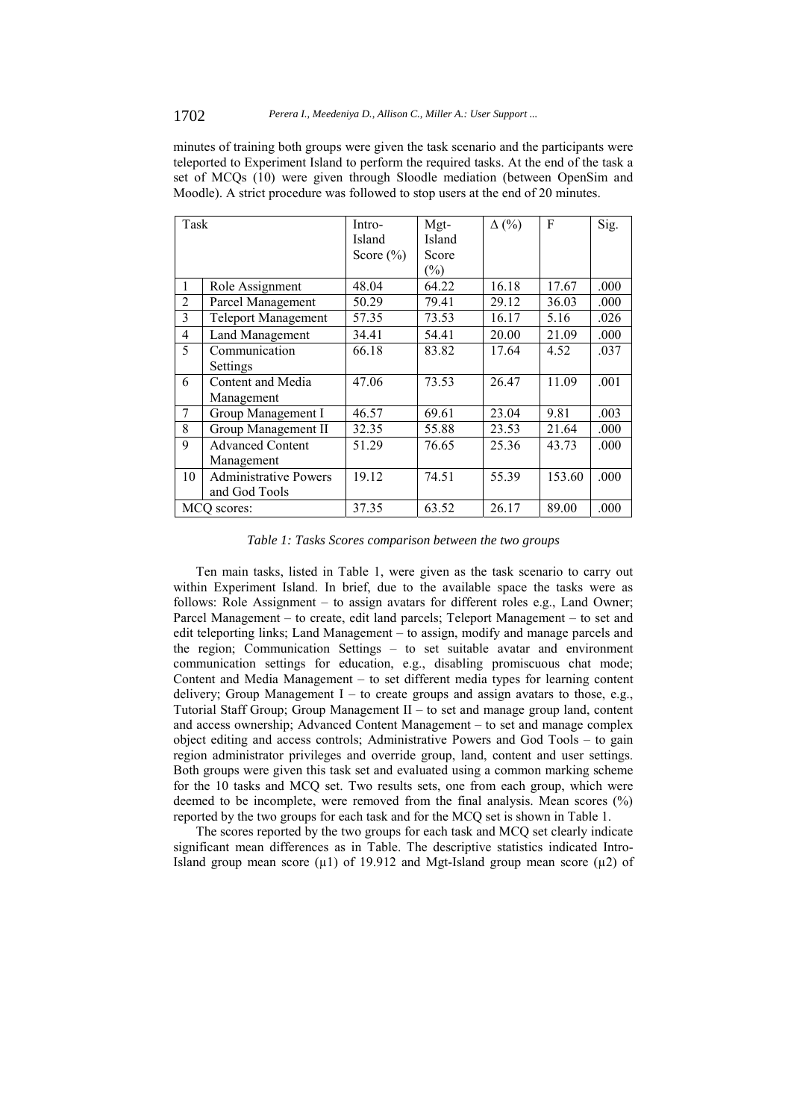minutes of training both groups were given the task scenario and the participants were teleported to Experiment Island to perform the required tasks. At the end of the task a set of MCQs (10) were given through Sloodle mediation (between OpenSim and Moodle). A strict procedure was followed to stop users at the end of 20 minutes.

| Task           |                              | Intro-        | Mgt-   | $\Delta$ (%) | F      | Sig. |
|----------------|------------------------------|---------------|--------|--------------|--------|------|
|                |                              | Island        | Island |              |        |      |
|                |                              | Score $(\% )$ | Score  |              |        |      |
|                |                              |               | $(\%)$ |              |        |      |
| 1              | Role Assignment              | 48.04         | 64.22  | 16.18        | 17.67  | .000 |
| $\overline{2}$ | Parcel Management            | 50.29         | 79.41  | 29.12        | 36.03  | .000 |
| 3              | <b>Teleport Management</b>   | 57.35         | 73.53  | 16.17        | 5.16   | .026 |
| $\overline{4}$ | <b>Land Management</b>       | 34.41         | 54.41  | 20.00        | 21.09  | .000 |
| 5              | Communication                | 66.18         | 83.82  | 17.64        | 4.52   | .037 |
|                | Settings                     |               |        |              |        |      |
| 6              | Content and Media            | 47.06         | 73.53  | 26.47        | 11.09  | .001 |
|                | Management                   |               |        |              |        |      |
| 7              | Group Management I           | 46.57         | 69.61  | 23.04        | 9.81   | .003 |
| 8              | Group Management II          | 32.35         | 55.88  | 23.53        | 21.64  | .000 |
| 9              | <b>Advanced Content</b>      | 51.29         | 76.65  | 25.36        | 43.73  | .000 |
|                | Management                   |               |        |              |        |      |
| 10             | <b>Administrative Powers</b> | 19.12         | 74.51  | 55.39        | 153.60 | .000 |
|                | and God Tools                |               |        |              |        |      |
| MCQ scores:    |                              | 37.35         | 63.52  | 26.17        | 89.00  | .000 |

*Table 1: Tasks Scores comparison between the two groups* 

Ten main tasks, listed in Table 1, were given as the task scenario to carry out within Experiment Island. In brief, due to the available space the tasks were as follows: Role Assignment – to assign avatars for different roles e.g., Land Owner; Parcel Management – to create, edit land parcels; Teleport Management – to set and edit teleporting links; Land Management – to assign, modify and manage parcels and the region; Communication Settings – to set suitable avatar and environment communication settings for education, e.g., disabling promiscuous chat mode; Content and Media Management – to set different media types for learning content delivery; Group Management I – to create groups and assign avatars to those, e.g., Tutorial Staff Group; Group Management II – to set and manage group land, content and access ownership; Advanced Content Management – to set and manage complex object editing and access controls; Administrative Powers and God Tools – to gain region administrator privileges and override group, land, content and user settings. Both groups were given this task set and evaluated using a common marking scheme for the 10 tasks and MCQ set. Two results sets, one from each group, which were deemed to be incomplete, were removed from the final analysis. Mean scores (%) reported by the two groups for each task and for the MCQ set is shown in Table 1.

The scores reported by the two groups for each task and MCQ set clearly indicate significant mean differences as in Table. The descriptive statistics indicated Intro-Island group mean score  $(\mu 1)$  of 19.912 and Mgt-Island group mean score  $(\mu 2)$  of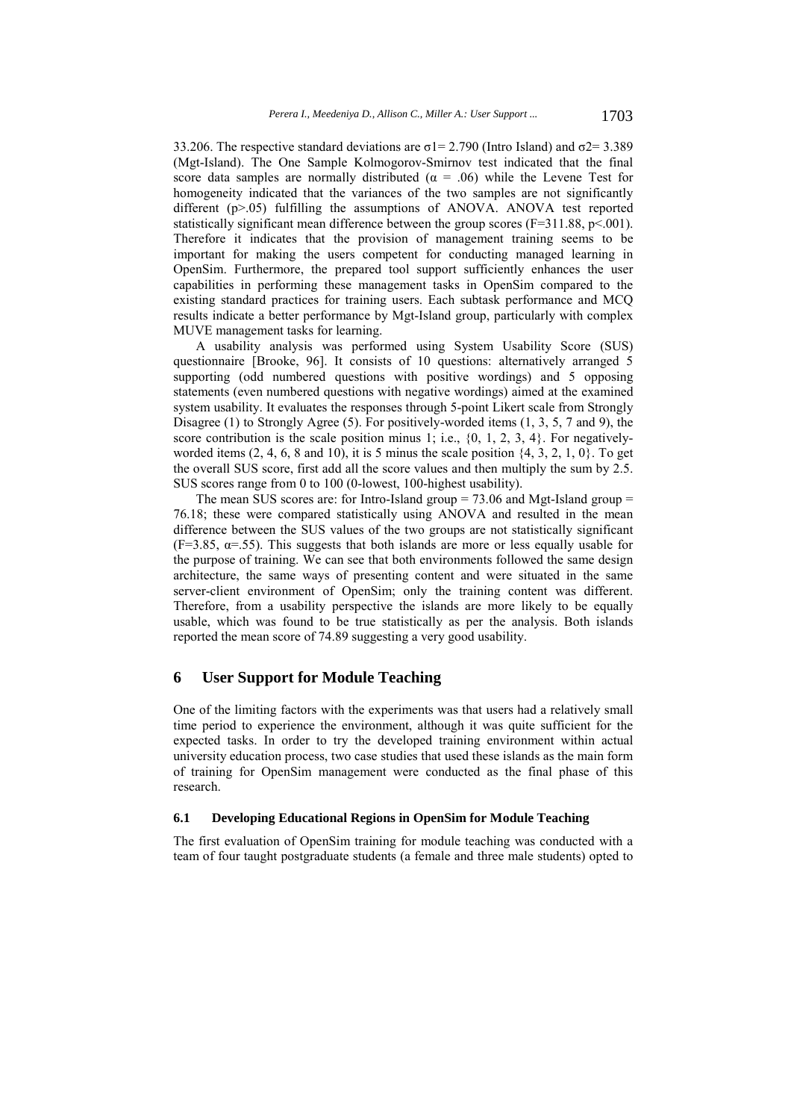33.206. The respective standard deviations are  $\sigma$ 1= 2.790 (Intro Island) and  $\sigma$ 2= 3.389 (Mgt-Island). The One Sample Kolmogorov-Smirnov test indicated that the final score data samples are normally distributed ( $\alpha = .06$ ) while the Levene Test for homogeneity indicated that the variances of the two samples are not significantly different (p>.05) fulfilling the assumptions of ANOVA. ANOVA test reported statistically significant mean difference between the group scores  $(F=311.88, p<.001)$ . Therefore it indicates that the provision of management training seems to be important for making the users competent for conducting managed learning in OpenSim. Furthermore, the prepared tool support sufficiently enhances the user capabilities in performing these management tasks in OpenSim compared to the existing standard practices for training users. Each subtask performance and MCQ results indicate a better performance by Mgt-Island group, particularly with complex MUVE management tasks for learning.

A usability analysis was performed using System Usability Score (SUS) questionnaire [Brooke, 96]. It consists of 10 questions: alternatively arranged 5 supporting (odd numbered questions with positive wordings) and 5 opposing statements (even numbered questions with negative wordings) aimed at the examined system usability. It evaluates the responses through 5-point Likert scale from Strongly Disagree (1) to Strongly Agree (5). For positively-worded items (1, 3, 5, 7 and 9), the score contribution is the scale position minus 1; i.e.,  $\{0, 1, 2, 3, 4\}$ . For negativelyworded items  $(2, 4, 6, 8 \text{ and } 10)$ , it is 5 minus the scale position  $\{4, 3, 2, 1, 0\}$ . To get the overall SUS score, first add all the score values and then multiply the sum by 2.5. SUS scores range from 0 to 100 (0-lowest, 100-highest usability).

The mean SUS scores are: for Intro-Island group  $= 73.06$  and Mgt-Island group  $=$ 76.18; these were compared statistically using ANOVA and resulted in the mean difference between the SUS values of the two groups are not statistically significant  $(F=3.85, \alpha=0.55)$ . This suggests that both islands are more or less equally usable for the purpose of training. We can see that both environments followed the same design architecture, the same ways of presenting content and were situated in the same server-client environment of OpenSim; only the training content was different. Therefore, from a usability perspective the islands are more likely to be equally usable, which was found to be true statistically as per the analysis. Both islands reported the mean score of 74.89 suggesting a very good usability.

## **6 User Support for Module Teaching**

One of the limiting factors with the experiments was that users had a relatively small time period to experience the environment, although it was quite sufficient for the expected tasks. In order to try the developed training environment within actual university education process, two case studies that used these islands as the main form of training for OpenSim management were conducted as the final phase of this research.

#### **6.1 Developing Educational Regions in OpenSim for Module Teaching**

The first evaluation of OpenSim training for module teaching was conducted with a team of four taught postgraduate students (a female and three male students) opted to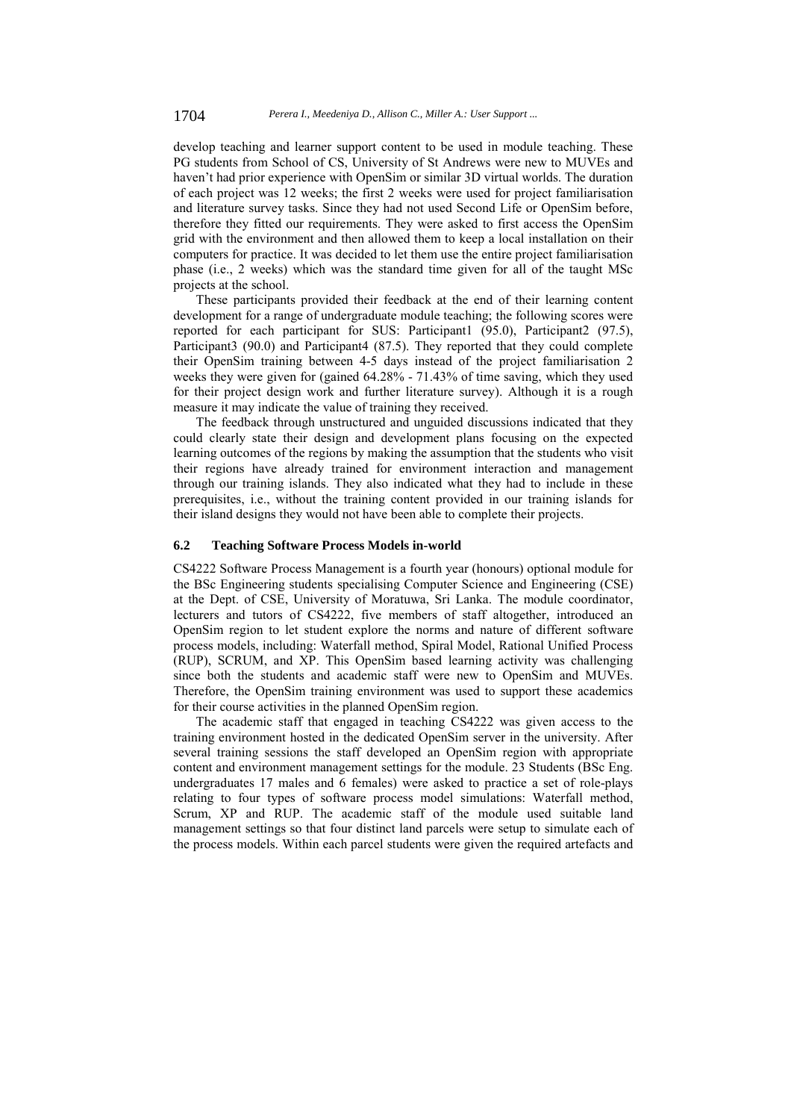develop teaching and learner support content to be used in module teaching. These PG students from School of CS, University of St Andrews were new to MUVEs and haven't had prior experience with OpenSim or similar 3D virtual worlds. The duration of each project was 12 weeks; the first 2 weeks were used for project familiarisation and literature survey tasks. Since they had not used Second Life or OpenSim before, therefore they fitted our requirements. They were asked to first access the OpenSim grid with the environment and then allowed them to keep a local installation on their computers for practice. It was decided to let them use the entire project familiarisation phase (i.e., 2 weeks) which was the standard time given for all of the taught MSc projects at the school.

These participants provided their feedback at the end of their learning content development for a range of undergraduate module teaching; the following scores were reported for each participant for SUS: Participant1 (95.0), Participant2 (97.5), Participant3 (90.0) and Participant4 (87.5). They reported that they could complete their OpenSim training between 4-5 days instead of the project familiarisation 2 weeks they were given for (gained 64.28% - 71.43% of time saving, which they used for their project design work and further literature survey). Although it is a rough measure it may indicate the value of training they received.

The feedback through unstructured and unguided discussions indicated that they could clearly state their design and development plans focusing on the expected learning outcomes of the regions by making the assumption that the students who visit their regions have already trained for environment interaction and management through our training islands. They also indicated what they had to include in these prerequisites, i.e., without the training content provided in our training islands for their island designs they would not have been able to complete their projects.

#### **6.2 Teaching Software Process Models in-world**

CS4222 Software Process Management is a fourth year (honours) optional module for the BSc Engineering students specialising Computer Science and Engineering (CSE) at the Dept. of CSE, University of Moratuwa, Sri Lanka. The module coordinator, lecturers and tutors of CS4222, five members of staff altogether, introduced an OpenSim region to let student explore the norms and nature of different software process models, including: Waterfall method, Spiral Model, Rational Unified Process (RUP), SCRUM, and XP. This OpenSim based learning activity was challenging since both the students and academic staff were new to OpenSim and MUVEs. Therefore, the OpenSim training environment was used to support these academics for their course activities in the planned OpenSim region.

The academic staff that engaged in teaching CS4222 was given access to the training environment hosted in the dedicated OpenSim server in the university. After several training sessions the staff developed an OpenSim region with appropriate content and environment management settings for the module. 23 Students (BSc Eng. undergraduates 17 males and 6 females) were asked to practice a set of role-plays relating to four types of software process model simulations: Waterfall method, Scrum, XP and RUP. The academic staff of the module used suitable land management settings so that four distinct land parcels were setup to simulate each of the process models. Within each parcel students were given the required artefacts and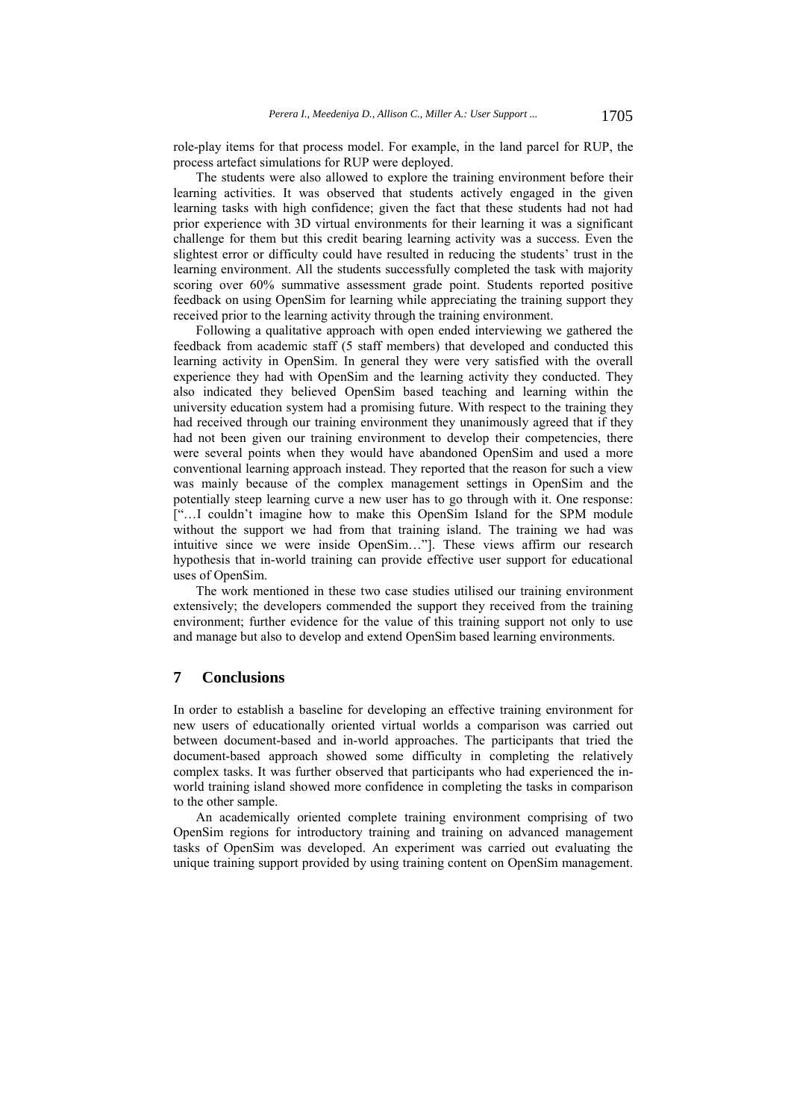role-play items for that process model. For example, in the land parcel for RUP, the process artefact simulations for RUP were deployed.

The students were also allowed to explore the training environment before their learning activities. It was observed that students actively engaged in the given learning tasks with high confidence; given the fact that these students had not had prior experience with 3D virtual environments for their learning it was a significant challenge for them but this credit bearing learning activity was a success. Even the slightest error or difficulty could have resulted in reducing the students' trust in the learning environment. All the students successfully completed the task with majority scoring over 60% summative assessment grade point. Students reported positive feedback on using OpenSim for learning while appreciating the training support they received prior to the learning activity through the training environment.

Following a qualitative approach with open ended interviewing we gathered the feedback from academic staff (5 staff members) that developed and conducted this learning activity in OpenSim. In general they were very satisfied with the overall experience they had with OpenSim and the learning activity they conducted. They also indicated they believed OpenSim based teaching and learning within the university education system had a promising future. With respect to the training they had received through our training environment they unanimously agreed that if they had not been given our training environment to develop their competencies, there were several points when they would have abandoned OpenSim and used a more conventional learning approach instead. They reported that the reason for such a view was mainly because of the complex management settings in OpenSim and the potentially steep learning curve a new user has to go through with it. One response: ["…I couldn't imagine how to make this OpenSim Island for the SPM module without the support we had from that training island. The training we had was intuitive since we were inside OpenSim…"]. These views affirm our research hypothesis that in-world training can provide effective user support for educational uses of OpenSim.

The work mentioned in these two case studies utilised our training environment extensively; the developers commended the support they received from the training environment; further evidence for the value of this training support not only to use and manage but also to develop and extend OpenSim based learning environments.

# **7 Conclusions**

In order to establish a baseline for developing an effective training environment for new users of educationally oriented virtual worlds a comparison was carried out between document-based and in-world approaches. The participants that tried the document-based approach showed some difficulty in completing the relatively complex tasks. It was further observed that participants who had experienced the inworld training island showed more confidence in completing the tasks in comparison to the other sample.

An academically oriented complete training environment comprising of two OpenSim regions for introductory training and training on advanced management tasks of OpenSim was developed. An experiment was carried out evaluating the unique training support provided by using training content on OpenSim management.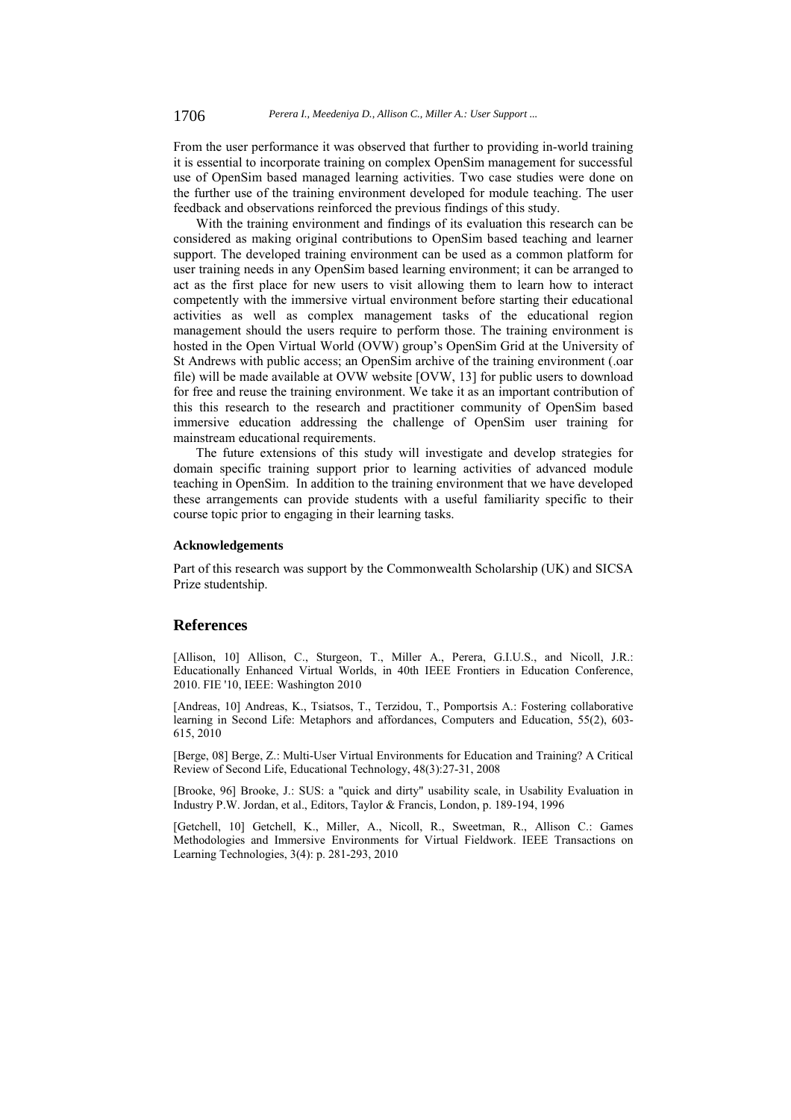From the user performance it was observed that further to providing in-world training it is essential to incorporate training on complex OpenSim management for successful use of OpenSim based managed learning activities. Two case studies were done on the further use of the training environment developed for module teaching. The user feedback and observations reinforced the previous findings of this study.

With the training environment and findings of its evaluation this research can be considered as making original contributions to OpenSim based teaching and learner support. The developed training environment can be used as a common platform for user training needs in any OpenSim based learning environment; it can be arranged to act as the first place for new users to visit allowing them to learn how to interact competently with the immersive virtual environment before starting their educational activities as well as complex management tasks of the educational region management should the users require to perform those. The training environment is hosted in the Open Virtual World (OVW) group's OpenSim Grid at the University of St Andrews with public access; an OpenSim archive of the training environment (.oar file) will be made available at OVW website [OVW, 13] for public users to download for free and reuse the training environment. We take it as an important contribution of this this research to the research and practitioner community of OpenSim based immersive education addressing the challenge of OpenSim user training for mainstream educational requirements.

The future extensions of this study will investigate and develop strategies for domain specific training support prior to learning activities of advanced module teaching in OpenSim. In addition to the training environment that we have developed these arrangements can provide students with a useful familiarity specific to their course topic prior to engaging in their learning tasks.

#### **Acknowledgements**

Part of this research was support by the Commonwealth Scholarship (UK) and SICSA Prize studentship.

#### **References**

[Allison, 10] Allison, C., Sturgeon, T., Miller A., Perera, G.I.U.S., and Nicoll, J.R.: Educationally Enhanced Virtual Worlds, in 40th IEEE Frontiers in Education Conference, 2010. FIE '10, IEEE: Washington 2010

[Andreas, 10] Andreas, K., Tsiatsos, T., Terzidou, T., Pomportsis A.: Fostering collaborative learning in Second Life: Metaphors and affordances, Computers and Education, 55(2), 603- 615, 2010

[Berge, 08] Berge, Z.: Multi-User Virtual Environments for Education and Training? A Critical Review of Second Life, Educational Technology, 48(3):27-31, 2008

[Brooke, 96] Brooke, J.: SUS: a "quick and dirty" usability scale, in Usability Evaluation in Industry P.W. Jordan, et al., Editors, Taylor & Francis, London, p. 189-194, 1996

[Getchell, 10] Getchell, K., Miller, A., Nicoll, R., Sweetman, R., Allison C.: Games Methodologies and Immersive Environments for Virtual Fieldwork. IEEE Transactions on Learning Technologies, 3(4): p. 281-293, 2010